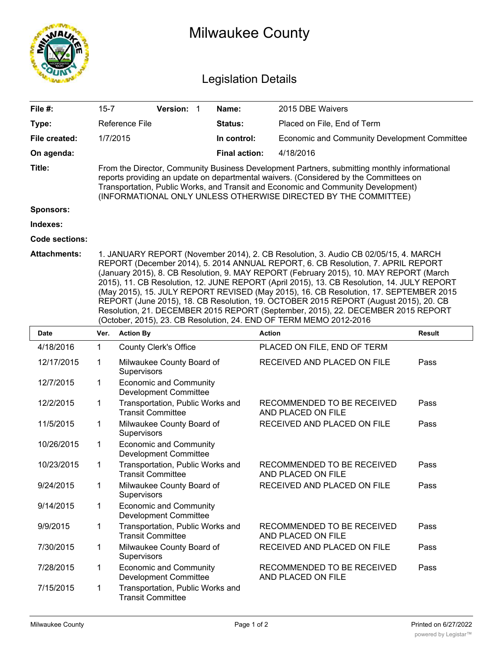|                            | <b>Milwaukee County</b>                                                                                                                                                                                                                                                                                                                                                                                                                                                                                                                                                                                                                                                                                    |                          |                                                               |  |                      |                                                  |               |  |  |  |
|----------------------------|------------------------------------------------------------------------------------------------------------------------------------------------------------------------------------------------------------------------------------------------------------------------------------------------------------------------------------------------------------------------------------------------------------------------------------------------------------------------------------------------------------------------------------------------------------------------------------------------------------------------------------------------------------------------------------------------------------|--------------------------|---------------------------------------------------------------|--|----------------------|--------------------------------------------------|---------------|--|--|--|
| <b>Legislation Details</b> |                                                                                                                                                                                                                                                                                                                                                                                                                                                                                                                                                                                                                                                                                                            |                          |                                                               |  |                      |                                                  |               |  |  |  |
| File #:                    | $15 - 7$                                                                                                                                                                                                                                                                                                                                                                                                                                                                                                                                                                                                                                                                                                   |                          | Version: 1                                                    |  | Name:                | 2015 DBE Waivers                                 |               |  |  |  |
| Type:                      |                                                                                                                                                                                                                                                                                                                                                                                                                                                                                                                                                                                                                                                                                                            | Reference File           |                                                               |  | Status:              | Placed on File, End of Term                      |               |  |  |  |
| File created:              | 1/7/2015                                                                                                                                                                                                                                                                                                                                                                                                                                                                                                                                                                                                                                                                                                   |                          |                                                               |  | In control:          | Economic and Community Development Committee     |               |  |  |  |
| On agenda:                 |                                                                                                                                                                                                                                                                                                                                                                                                                                                                                                                                                                                                                                                                                                            |                          |                                                               |  | <b>Final action:</b> | 4/18/2016                                        |               |  |  |  |
| Title:                     | From the Director, Community Business Development Partners, submitting monthly informational<br>reports providing an update on departmental waivers. (Considered by the Committees on<br>Transportation, Public Works, and Transit and Economic and Community Development)<br>(INFORMATIONAL ONLY UNLESS OTHERWISE DIRECTED BY THE COMMITTEE)                                                                                                                                                                                                                                                                                                                                                              |                          |                                                               |  |                      |                                                  |               |  |  |  |
| <b>Sponsors:</b>           |                                                                                                                                                                                                                                                                                                                                                                                                                                                                                                                                                                                                                                                                                                            |                          |                                                               |  |                      |                                                  |               |  |  |  |
| Indexes:                   |                                                                                                                                                                                                                                                                                                                                                                                                                                                                                                                                                                                                                                                                                                            |                          |                                                               |  |                      |                                                  |               |  |  |  |
| <b>Code sections:</b>      |                                                                                                                                                                                                                                                                                                                                                                                                                                                                                                                                                                                                                                                                                                            |                          |                                                               |  |                      |                                                  |               |  |  |  |
| <b>Attachments:</b>        | 1. JANUARY REPORT (November 2014), 2. CB Resolution, 3. Audio CB 02/05/15, 4. MARCH<br>REPORT (December 2014), 5. 2014 ANNUAL REPORT, 6. CB Resolution, 7. APRIL REPORT<br>(January 2015), 8. CB Resolution, 9. MAY REPORT (February 2015), 10. MAY REPORT (March<br>2015), 11. CB Resolution, 12. JUNE REPORT (April 2015), 13. CB Resolution, 14. JULY REPORT<br>(May 2015), 15. JULY REPORT REVISED (May 2015), 16. CB Resolution, 17. SEPTEMBER 2015<br>REPORT (June 2015), 18. CB Resolution, 19. OCTOBER 2015 REPORT (August 2015), 20. CB<br>Resolution, 21. DECEMBER 2015 REPORT (September, 2015), 22. DECEMBER 2015 REPORT<br>(October, 2015), 23. CB Resolution, 24. END OF TERM MEMO 2012-2016 |                          |                                                               |  |                      |                                                  |               |  |  |  |
| <b>Date</b>                | Ver.                                                                                                                                                                                                                                                                                                                                                                                                                                                                                                                                                                                                                                                                                                       | <b>Action By</b>         |                                                               |  |                      | <b>Action</b>                                    | <b>Result</b> |  |  |  |
| 4/18/2016                  | $\mathbf{1}$                                                                                                                                                                                                                                                                                                                                                                                                                                                                                                                                                                                                                                                                                               |                          | <b>County Clerk's Office</b>                                  |  |                      | PLACED ON FILE, END OF TERM                      |               |  |  |  |
| 12/17/2015                 | 1                                                                                                                                                                                                                                                                                                                                                                                                                                                                                                                                                                                                                                                                                                          | Supervisors              | Milwaukee County Board of                                     |  |                      | RECEIVED AND PLACED ON FILE                      | Pass          |  |  |  |
| 12/7/2015                  | 1                                                                                                                                                                                                                                                                                                                                                                                                                                                                                                                                                                                                                                                                                                          |                          | <b>Economic and Community</b><br><b>Development Committee</b> |  |                      |                                                  |               |  |  |  |
| 12/2/2015                  | 1                                                                                                                                                                                                                                                                                                                                                                                                                                                                                                                                                                                                                                                                                                          | <b>Transit Committee</b> | Transportation, Public Works and                              |  |                      | RECOMMENDED TO BE RECEIVED<br>AND PLACED ON FILE | Pass          |  |  |  |
| 11/5/2015                  | 1                                                                                                                                                                                                                                                                                                                                                                                                                                                                                                                                                                                                                                                                                                          | Supervisors              | Milwaukee County Board of                                     |  |                      | RECEIVED AND PLACED ON FILE                      | Pass          |  |  |  |
| 10/26/2015                 | $\mathbf 1$                                                                                                                                                                                                                                                                                                                                                                                                                                                                                                                                                                                                                                                                                                |                          | <b>Economic and Community</b><br><b>Development Committee</b> |  |                      |                                                  |               |  |  |  |
| 10/23/2015                 | 1                                                                                                                                                                                                                                                                                                                                                                                                                                                                                                                                                                                                                                                                                                          | <b>Transit Committee</b> | Transportation, Public Works and                              |  |                      | RECOMMENDED TO BE RECEIVED<br>AND PLACED ON FILE | Pass          |  |  |  |
| 9/24/2015                  | 1                                                                                                                                                                                                                                                                                                                                                                                                                                                                                                                                                                                                                                                                                                          | Supervisors              | Milwaukee County Board of                                     |  |                      | RECEIVED AND PLACED ON FILE                      | Pass          |  |  |  |
| 9/14/2015                  | 1                                                                                                                                                                                                                                                                                                                                                                                                                                                                                                                                                                                                                                                                                                          |                          | <b>Economic and Community</b><br><b>Development Committee</b> |  |                      |                                                  |               |  |  |  |
| 9/9/2015                   | 1                                                                                                                                                                                                                                                                                                                                                                                                                                                                                                                                                                                                                                                                                                          | <b>Transit Committee</b> | Transportation, Public Works and                              |  |                      | RECOMMENDED TO BE RECEIVED<br>AND PLACED ON FILE | Pass          |  |  |  |
| 7/30/2015                  | 1                                                                                                                                                                                                                                                                                                                                                                                                                                                                                                                                                                                                                                                                                                          | Supervisors              | Milwaukee County Board of                                     |  |                      | RECEIVED AND PLACED ON FILE                      | Pass          |  |  |  |
| 7/28/2015                  | 1                                                                                                                                                                                                                                                                                                                                                                                                                                                                                                                                                                                                                                                                                                          |                          | <b>Economic and Community</b><br><b>Development Committee</b> |  |                      | RECOMMENDED TO BE RECEIVED<br>AND PLACED ON FILE | Pass          |  |  |  |
| 7/15/2015                  | 1                                                                                                                                                                                                                                                                                                                                                                                                                                                                                                                                                                                                                                                                                                          | <b>Transit Committee</b> | Transportation, Public Works and                              |  |                      |                                                  |               |  |  |  |